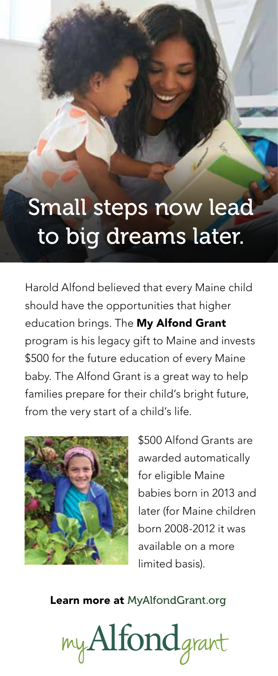## Small steps now lead to big dreams later.

Harold Alfond believed that every Maine child should have the opportunities that higher education brings. The My Alfond Grant program is his legacy gift to Maine and invests \$500 for the future education of every Maine baby. The Alfond Grant is a great way to help families prepare for their child's bright future, from the very start of a child's life.



\$500 Alfond Grants are awarded automatically for eligible Maine babies born in 2013 and later (for Maine children born 2008-2012 it was available on a more limited basis).

Learn more at MyAlfondGrant.org